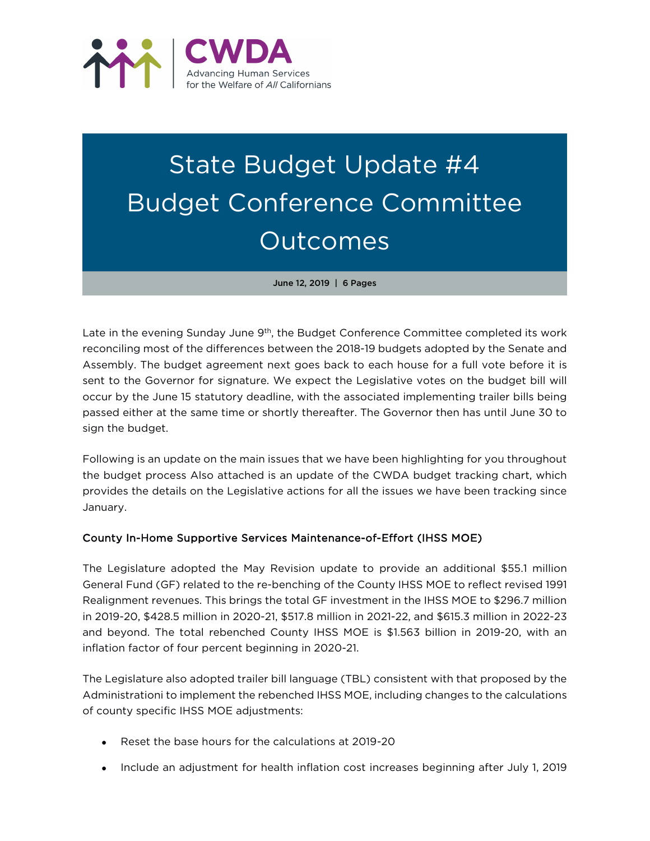

# State Budget Update #4 Budget Conference Committee Outcomes

June 12, 2019 | 6 Pages

Late in the evening Sunday June 9<sup>th</sup>, the Budget Conference Committee completed its work reconciling most of the differences between the 2018-19 budgets adopted by the Senate and Assembly. The budget agreement next goes back to each house for a full vote before it is sent to the Governor for signature. We expect the Legislative votes on the budget bill will occur by the June 15 statutory deadline, with the associated implementing trailer bills being passed either at the same time or shortly thereafter. The Governor then has until June 30 to sign the budget.

Following is an update on the main issues that we have been highlighting for you throughout the budget process Also attached is an update of the CWDA budget tracking chart, which provides the details on the Legislative actions for all the issues we have been tracking since January.

## County In-Home Supportive Services Maintenance-of-Effort (IHSS MOE)

The Legislature adopted the May Revision update to provide an additional \$55.1 million General Fund (GF) related to the re-benching of the County IHSS MOE to reflect revised 1991 Realignment revenues. This brings the total GF investment in the IHSS MOE to \$296.7 million in 2019-20, \$428.5 million in 2020-21, \$517.8 million in 2021-22, and \$615.3 million in 2022-23 and beyond. The total rebenched County IHSS MOE is \$1.563 billion in 2019-20, with an inflation factor of four percent beginning in 2020-21.

The Legislature also adopted trailer bill language (TBL) consistent with that proposed by the Administrationi to implement the rebenched IHSS MOE, including changes to the calculations of county specific IHSS MOE adjustments:

- Reset the base hours for the calculations at 2019-20
- Include an adjustment for health inflation cost increases beginning after July 1, 2019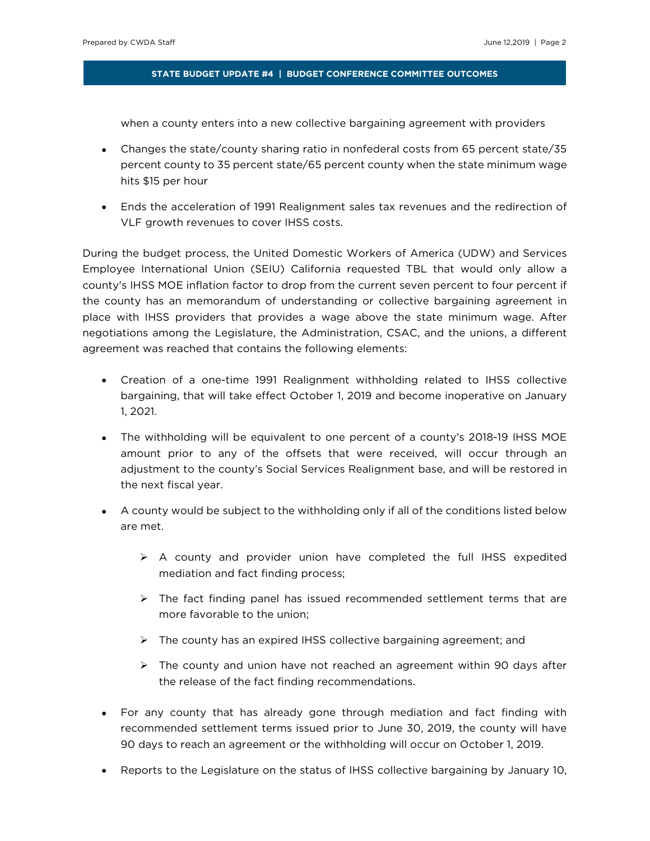when a county enters into a new collective bargaining agreement with providers

- Changes the state/county sharing ratio in nonfederal costs from 65 percent state/35 percent county to 35 percent state/65 percent county when the state minimum wage hits \$15 per hour
- Ends the acceleration of 1991 Realignment sales tax revenues and the redirection of VLF growth revenues to cover IHSS costs.

During the budget process, the United Domestic Workers of America (UDW) and Services Employee International Union (SEIU) California requested TBL that would only allow a county's IHSS MOE inflation factor to drop from the current seven percent to four percent if the county has an memorandum of understanding or collective bargaining agreement in place with IHSS providers that provides a wage above the state minimum wage. After negotiations among the Legislature, the Administration, CSAC, and the unions, a different agreement was reached that contains the following elements:

- Creation of a one-time 1991 Realignment withholding related to IHSS collective bargaining, that will take effect October 1, 2019 and become inoperative on January 1, 2021.
- The withholding will be equivalent to one percent of a county's 2018-19 IHSS MOE amount prior to any of the offsets that were received, will occur through an adjustment to the county's Social Services Realignment base, and will be restored in the next fiscal year.
- A county would be subject to the withholding only if all of the conditions listed below are met.
	- $\triangleright$  A county and provider union have completed the full IHSS expedited mediation and fact finding process;
	- $\triangleright$  The fact finding panel has issued recommended settlement terms that are more favorable to the union;
	- $\triangleright$  The county has an expired IHSS collective bargaining agreement; and
	- $\triangleright$  The county and union have not reached an agreement within 90 days after the release of the fact finding recommendations.
- For any county that has already gone through mediation and fact finding with recommended settlement terms issued prior to June 30, 2019, the county will have 90 days to reach an agreement or the withholding will occur on October 1, 2019.
- Reports to the Legislature on the status of IHSS collective bargaining by January 10,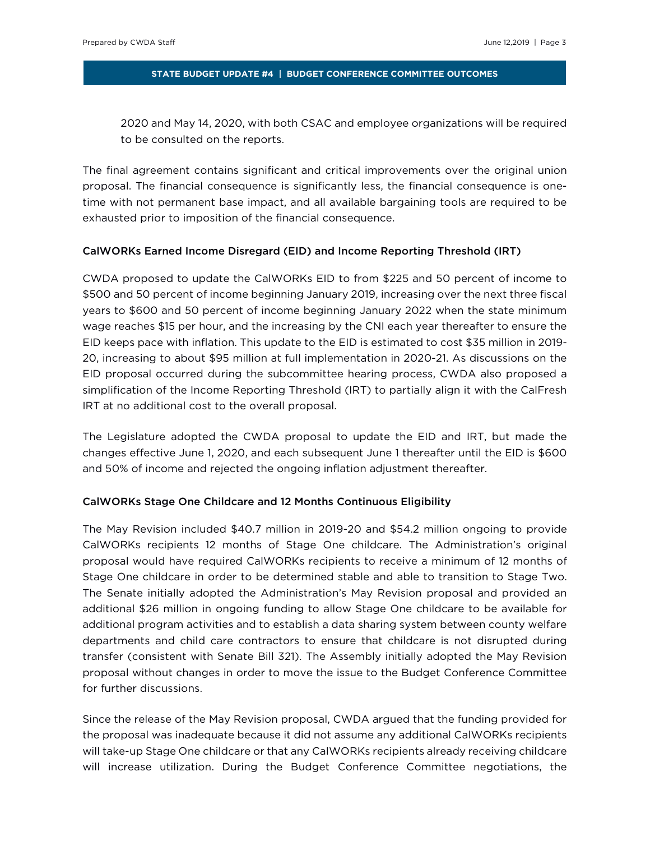2020 and May 14, 2020, with both CSAC and employee organizations will be required to be consulted on the reports.

The final agreement contains significant and critical improvements over the original union proposal. The financial consequence is significantly less, the financial consequence is onetime with not permanent base impact, and all available bargaining tools are required to be exhausted prior to imposition of the financial consequence.

### CalWORKs Earned Income Disregard (EID) and Income Reporting Threshold (IRT)

CWDA proposed to update the CalWORKs EID to from \$225 and 50 percent of income to \$500 and 50 percent of income beginning January 2019, increasing over the next three fiscal years to \$600 and 50 percent of income beginning January 2022 when the state minimum wage reaches \$15 per hour, and the increasing by the CNI each year thereafter to ensure the EID keeps pace with inflation. This update to the EID is estimated to cost \$35 million in 2019- 20, increasing to about \$95 million at full implementation in 2020-21. As discussions on the EID proposal occurred during the subcommittee hearing process, CWDA also proposed a simplification of the Income Reporting Threshold (IRT) to partially align it with the CalFresh IRT at no additional cost to the overall proposal.

The Legislature adopted the CWDA proposal to update the EID and IRT, but made the changes effective June 1, 2020, and each subsequent June 1 thereafter until the EID is \$600 and 50% of income and rejected the ongoing inflation adjustment thereafter.

## CalWORKs Stage One Childcare and 12 Months Continuous Eligibility

The May Revision included \$40.7 million in 2019-20 and \$54.2 million ongoing to provide CalWORKs recipients 12 months of Stage One childcare. The Administration's original proposal would have required CalWORKs recipients to receive a minimum of 12 months of Stage One childcare in order to be determined stable and able to transition to Stage Two. The Senate initially adopted the Administration's May Revision proposal and provided an additional \$26 million in ongoing funding to allow Stage One childcare to be available for additional program activities and to establish a data sharing system between county welfare departments and child care contractors to ensure that childcare is not disrupted during transfer (consistent with Senate Bill 321). The Assembly initially adopted the May Revision proposal without changes in order to move the issue to the Budget Conference Committee for further discussions.

Since the release of the May Revision proposal, CWDA argued that the funding provided for the proposal was inadequate because it did not assume any additional CalWORKs recipients will take-up Stage One childcare or that any CalWORKs recipients already receiving childcare will increase utilization. During the Budget Conference Committee negotiations, the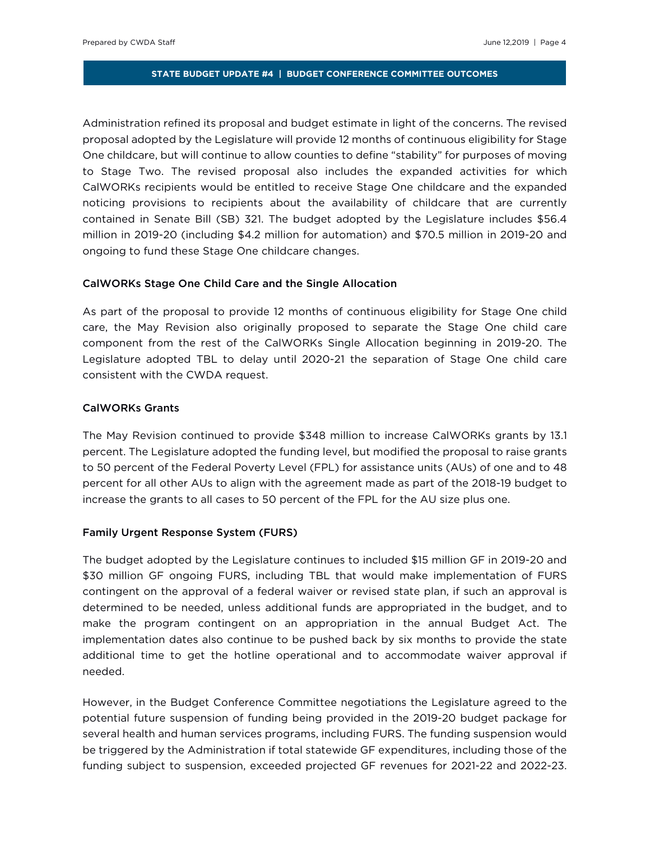Administration refined its proposal and budget estimate in light of the concerns. The revised proposal adopted by the Legislature will provide 12 months of continuous eligibility for Stage One childcare, but will continue to allow counties to define ''stability'' for purposes of moving to Stage Two. The revised proposal also includes the expanded activities for which CalWORKs recipients would be entitled to receive Stage One childcare and the expanded noticing provisions to recipients about the availability of childcare that are currently contained in Senate Bill (SB) 321. The budget adopted by the Legislature includes \$56.4 million in 2019-20 (including \$4.2 million for automation) and \$70.5 million in 2019-20 and ongoing to fund these Stage One childcare changes.

## CalWORKs Stage One Child Care and the Single Allocation

As part of the proposal to provide 12 months of continuous eligibility for Stage One child care, the May Revision also originally proposed to separate the Stage One child care component from the rest of the CalWORKs Single Allocation beginning in 2019-20. The Legislature adopted TBL to delay until 2020-21 the separation of Stage One child care consistent with the CWDA request.

## CalWORKs Grants

The May Revision continued to provide \$348 million to increase CalWORKs grants by 13.1 percent. The Legislature adopted the funding level, but modified the proposal to raise grants to 50 percent of the Federal Poverty Level (FPL) for assistance units (AUs) of one and to 48 percent for all other AUs to align with the agreement made as part of the 2018-19 budget to increase the grants to all cases to 50 percent of the FPL for the AU size plus one.

## Family Urgent Response System (FURS)

The budget adopted by the Legislature continues to included \$15 million GF in 2019-20 and \$30 million GF ongoing FURS, including TBL that would make implementation of FURS contingent on the approval of a federal waiver or revised state plan, if such an approval is determined to be needed, unless additional funds are appropriated in the budget, and to make the program contingent on an appropriation in the annual Budget Act. The implementation dates also continue to be pushed back by six months to provide the state additional time to get the hotline operational and to accommodate waiver approval if needed.

However, in the Budget Conference Committee negotiations the Legislature agreed to the potential future suspension of funding being provided in the 2019-20 budget package for several health and human services programs, including FURS. The funding suspension would be triggered by the Administration if total statewide GF expenditures, including those of the funding subject to suspension, exceeded projected GF revenues for 2021-22 and 2022-23.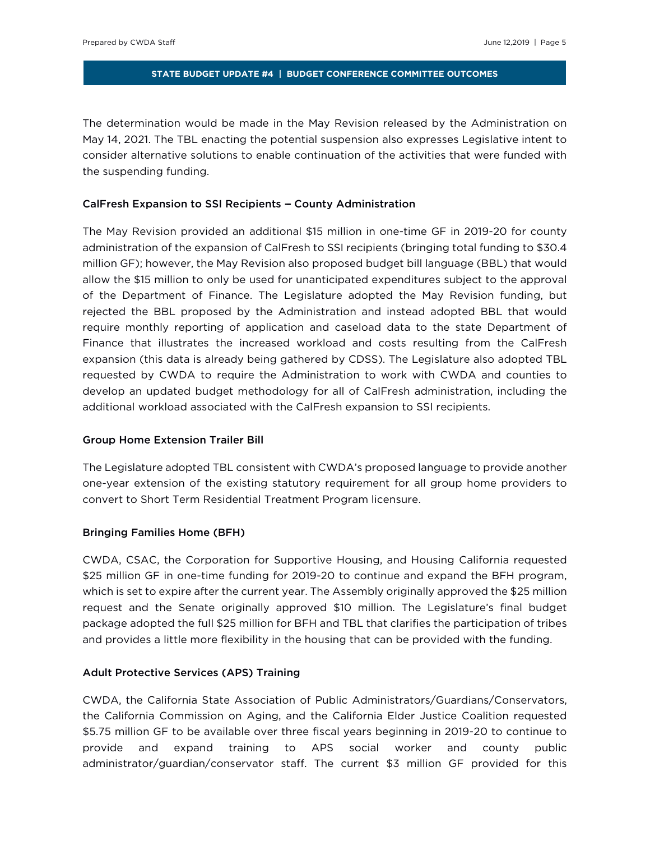The determination would be made in the May Revision released by the Administration on May 14, 2021. The TBL enacting the potential suspension also expresses Legislative intent to consider alternative solutions to enable continuation of the activities that were funded with the suspending funding.

## CalFresh Expansion to SSI Recipients - County Administration

The May Revision provided an additional \$15 million in one-time GF in 2019-20 for county administration of the expansion of CalFresh to SSI recipients (bringing total funding to \$30.4 million GF); however, the May Revision also proposed budget bill language (BBL) that would allow the \$15 million to only be used for unanticipated expenditures subject to the approval of the Department of Finance. The Legislature adopted the May Revision funding, but rejected the BBL proposed by the Administration and instead adopted BBL that would require monthly reporting of application and caseload data to the state Department of Finance that illustrates the increased workload and costs resulting from the CalFresh expansion (this data is already being gathered by CDSS). The Legislature also adopted TBL requested by CWDA to require the Administration to work with CWDA and counties to develop an updated budget methodology for all of CalFresh administration, including the additional workload associated with the CalFresh expansion to SSI recipients.

## Group Home Extension Trailer Bill

The Legislature adopted TBL consistent with CWDA's proposed language to provide another one-year extension of the existing statutory requirement for all group home providers to convert to Short Term Residential Treatment Program licensure.

## Bringing Families Home (BFH)

CWDA, CSAC, the Corporation for Supportive Housing, and Housing California requested \$25 million GF in one-time funding for 2019-20 to continue and expand the BFH program, which is set to expire after the current year. The Assembly originally approved the \$25 million request and the Senate originally approved \$10 million. The Legislature's final budget package adopted the full \$25 million for BFH and TBL that clarifies the participation of tribes and provides a little more flexibility in the housing that can be provided with the funding.

## Adult Protective Services (APS) Training

CWDA, the California State Association of Public Administrators/Guardians/Conservators, the California Commission on Aging, and the California Elder Justice Coalition requested \$5.75 million GF to be available over three fiscal years beginning in 2019-20 to continue to provide and expand training to APS social worker and county public administrator/guardian/conservator staff. The current \$3 million GF provided for this